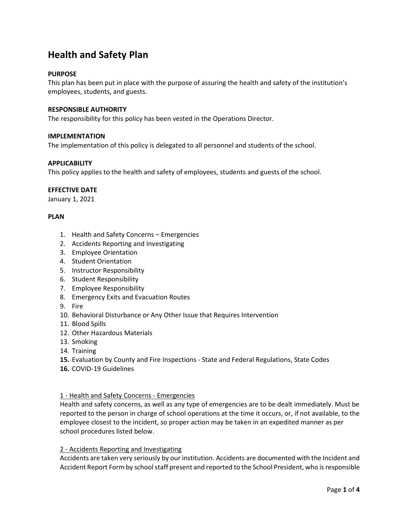# **Health and Safety Plan**

## **PURPOSE**

This plan has been put in place with the purpose of assuring the health and safety of the institution's employees, students, and guests.

## **RESPONSIBLE AUTHORITY**

The responsibility for this policy has been vested in the Operations Director.

## **IMPLEMENTATION**

The implementation of this policy is delegated to all personnel and students of the school.

## **APPLICABILITY**

This policy applies to the health and safety of employees, students and guests of the school.

## **EFFECTIVE DATE**

January 1, 2021

## **PLAN**

- 1. Health and Safety Concerns Emergencies
- 2. Accidents Reporting and Investigating
- 3. Employee Orientation
- 4. Student Orientation
- 5. Instructor Responsibility
- 6. Student Responsibility
- 7. Employee Responsibility
- 8. Emergency Exits and Evacuation Routes
- 9. Fire
- 10. Behavioral Disturbance or Any Other Issue that Requires Intervention
- 11. Blood Spills
- 12. Other Hazardous Materials
- 13. Smoking
- 14. Training
- **15.** Evaluation by County and Fire Inspections State and Federal Regulations, State Codes
- **16.** COVID-19 Guidelines

## 1 - Health and Safety Concerns - Emergencies

Health and safety concerns, as well as any type of emergencies are to be dealt immediately. Must be reported to the person in charge of school operations at the time it occurs, or, if not available, to the employee closest to the incident, so proper action may be taken in an expedited manner as per school procedures listed below.

#### 2 - Accidents Reporting and Investigating

Accidents are taken very seriously by our institution. Accidents are documented with the Incident and Accident Report Form by school staff present and reported to the School President, who is responsible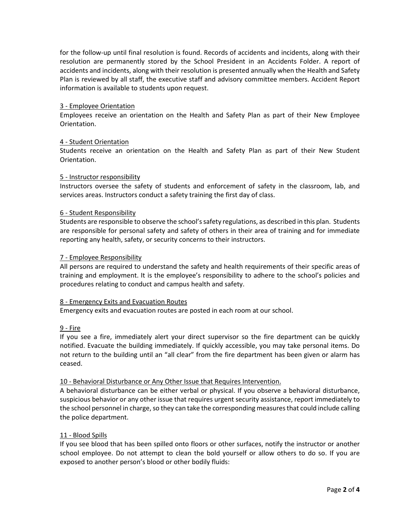for the follow-up until final resolution is found. Records of accidents and incidents, along with their resolution are permanently stored by the School President in an Accidents Folder. A report of accidents and incidents, along with their resolution is presented annually when the Health and Safety Plan is reviewed by all staff, the executive staff and advisory committee members. Accident Report information is available to students upon request.

## 3 - Employee Orientation

Employees receive an orientation on the Health and Safety Plan as part of their New Employee Orientation.

## 4 - Student Orientation

Students receive an orientation on the Health and Safety Plan as part of their New Student Orientation.

## 5 - Instructor responsibility

Instructors oversee the safety of students and enforcement of safety in the classroom, lab, and services areas. Instructors conduct a safety training the first day of class.

## 6 - Student Responsibility

Students are responsible to observe the school's safety regulations, as described in this plan. Students are responsible for personal safety and safety of others in their area of training and for immediate reporting any health, safety, or security concerns to their instructors.

#### 7 - Employee Responsibility

All persons are required to understand the safety and health requirements of their specific areas of training and employment. It is the employee's responsibility to adhere to the school's policies and procedures relating to conduct and campus health and safety.

#### 8 - Emergency Exits and Evacuation Routes

Emergency exits and evacuation routes are posted in each room at our school.

## 9 - Fire

If you see a fire, immediately alert your direct supervisor so the fire department can be quickly notified. Evacuate the building immediately. If quickly accessible, you may take personal items. Do not return to the building until an "all clear" from the fire department has been given or alarm has ceased.

#### 10 - Behavioral Disturbance or Any Other Issue that Requires Intervention.

A behavioral disturbance can be either verbal or physical. If you observe a behavioral disturbance, suspicious behavior or any other issue that requires urgent security assistance, report immediately to the school personnel in charge, so they can take the corresponding measures that could include calling the police department.

## 11 - Blood Spills

If you see blood that has been spilled onto floors or other surfaces, notify the instructor or another school employee. Do not attempt to clean the bold yourself or allow others to do so. If you are exposed to another person's blood or other bodily fluids: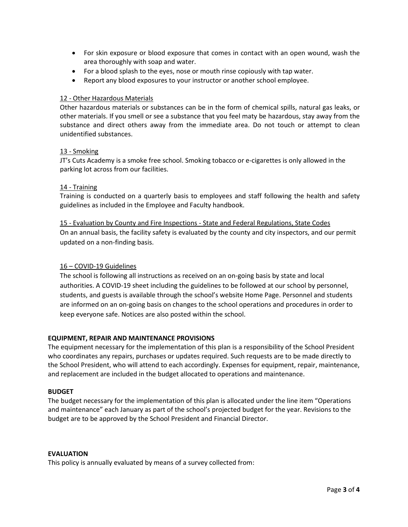- For skin exposure or blood exposure that comes in contact with an open wound, wash the area thoroughly with soap and water.
- For a blood splash to the eyes, nose or mouth rinse copiously with tap water.
- Report any blood exposures to your instructor or another school employee.

## 12 - Other Hazardous Materials

Other hazardous materials or substances can be in the form of chemical spills, natural gas leaks, or other materials. If you smell or see a substance that you feel maty be hazardous, stay away from the substance and direct others away from the immediate area. Do not touch or attempt to clean unidentified substances.

## 13 - Smoking

JT's Cuts Academy is a smoke free school. Smoking tobacco or e-cigarettes is only allowed in the parking lot across from our facilities.

## 14 - Training

Training is conducted on a quarterly basis to employees and staff following the health and safety guidelines as included in the Employee and Faculty handbook.

## 15 - Evaluation by County and Fire Inspections - State and Federal Regulations, State Codes On an annual basis, the facility safety is evaluated by the county and city inspectors, and our permit updated on a non-finding basis.

## 16 – COVID-19 Guidelines

The school is following all instructions as received on an on-going basis by state and local authorities. A COVID-19 sheet including the guidelines to be followed at our school by personnel, students, and guests is available through the school's website Home Page. Personnel and students are informed on an on-going basis on changes to the school operations and procedures in order to keep everyone safe. Notices are also posted within the school.

## **EQUIPMENT, REPAIR AND MAINTENANCE PROVISIONS**

The equipment necessary for the implementation of this plan is a responsibility of the School President who coordinates any repairs, purchases or updates required. Such requests are to be made directly to the School President, who will attend to each accordingly. Expenses for equipment, repair, maintenance, and replacement are included in the budget allocated to operations and maintenance.

#### **BUDGET**

The budget necessary for the implementation of this plan is allocated under the line item "Operations and maintenance" each January as part of the school's projected budget for the year. Revisions to the budget are to be approved by the School President and Financial Director.

#### **EVALUATION**

This policy is annually evaluated by means of a survey collected from: